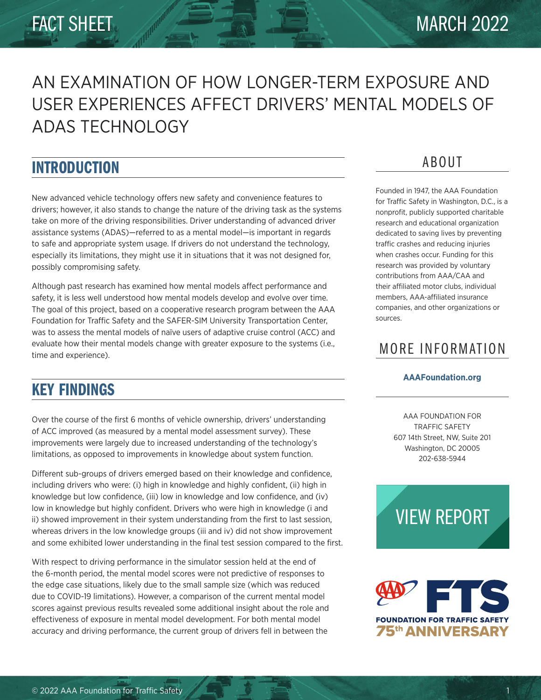# AN EXAMINATION OF HOW LONGER-TERM EXPOSURE AND USER EXPERIENCES AFFECT DRIVERS' MENTAL MODELS OF ADAS TECHNOLOGY

# INTRODUCTION

New advanced vehicle technology offers new safety and convenience features to drivers; however, it also stands to change the nature of the driving task as the systems take on more of the driving responsibilities. Driver understanding of advanced driver assistance systems (ADAS)—referred to as a mental model—is important in regards to safe and appropriate system usage. If drivers do not understand the technology, especially its limitations, they might use it in situations that it was not designed for, possibly compromising safety.

Although past research has examined how mental models affect performance and safety, it is less well understood how mental models develop and evolve over time. The goal of this project, based on a cooperative research program between the AAA Foundation for Traffic Safety and the SAFER-SIM University Transportation Center, was to assess the mental models of naïve users of adaptive cruise control (ACC) and evaluate how their mental models change with greater exposure to the systems (i.e., time and experience).

# KEY FINDINGS

Over the course of the first 6 months of vehicle ownership, drivers' understanding of ACC improved (as measured by a mental model assessment survey). These improvements were largely due to increased understanding of the technology's limitations, as opposed to improvements in knowledge about system function.

Different sub-groups of drivers emerged based on their knowledge and confidence, including drivers who were: (i) high in knowledge and highly confident, (ii) high in knowledge but low confidence, (iii) low in knowledge and low confidence, and (iv) low in knowledge but highly confident. Drivers who were high in knowledge (i and ii) showed improvement in their system understanding from the first to last session, whereas drivers in the low knowledge groups (iii and iv) did not show improvement and some exhibited lower understanding in the final test session compared to the first.

With respect to driving performance in the simulator session held at the end of the 6-month period, the mental model scores were not predictive of responses to the edge case situations, likely due to the small sample size (which was reduced due to COVID-19 limitations). However, a comparison of the current mental model scores against previous results revealed some additional insight about the role and effectiveness of exposure in mental model development. For both mental model accuracy and driving performance, the current group of drivers fell in between the

## ABOUT

Founded in 1947, the AAA Foundation for Traffic Safety in Washington, D.C., is a nonprofit, publicly supported charitable research and educational organization dedicated to saving lives by preventing traffic crashes and reducing injuries when crashes occur. Funding for this research was provided by voluntary contributions from AAA/CAA and their affiliated motor clubs, individual members, AAA-affiliated insurance companies, and other organizations or sources.

## MORE INFORMATION

### **[AAAFoundation.org](http://www.AAAFoundation.org)**

AAA FOUNDATION FOR TRAFFIC SAFETY 607 14th Street, NW, Suite 201 Washington, DC 20005 202-638-5944

[VIEW REPORT](http://aaafoundation.org/wp-content/uploads/2022/03/Longer-Term-Exposure-and-Drivers-Mental-Models-of-ADAS-Technology.pdf  )

# **FOUNDATION FOR TRAFFIC SAFETY** 75th ANNIVERSARY